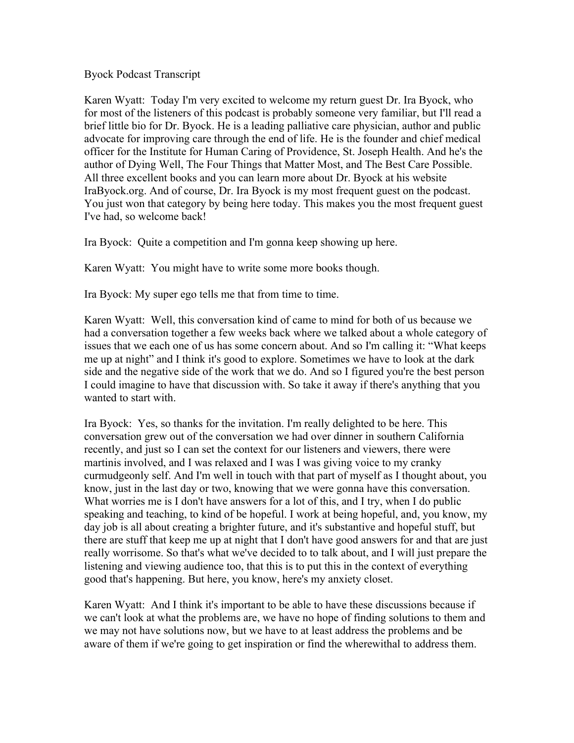Byock Podcast Transcript

Karen Wyatt: Today I'm very excited to welcome my return guest Dr. Ira Byock, who for most of the listeners of this podcast is probably someone very familiar, but I'll read a brief little bio for Dr. Byock. He is a leading palliative care physician, author and public advocate for improving care through the end of life. He is the founder and chief medical officer for the Institute for Human Caring of Providence, St. Joseph Health. And he's the author of Dying Well, The Four Things that Matter Most, and The Best Care Possible. All three excellent books and you can learn more about Dr. Byock at his website IraByock.org. And of course, Dr. Ira Byock is my most frequent guest on the podcast. You just won that category by being here today. This makes you the most frequent guest I've had, so welcome back!

Ira Byock: Quite a competition and I'm gonna keep showing up here.

Karen Wyatt: You might have to write some more books though.

Ira Byock: My super ego tells me that from time to time.

Karen Wyatt: Well, this conversation kind of came to mind for both of us because we had a conversation together a few weeks back where we talked about a whole category of issues that we each one of us has some concern about. And so I'm calling it: "What keeps me up at night" and I think it's good to explore. Sometimes we have to look at the dark side and the negative side of the work that we do. And so I figured you're the best person I could imagine to have that discussion with. So take it away if there's anything that you wanted to start with.

Ira Byock: Yes, so thanks for the invitation. I'm really delighted to be here. This conversation grew out of the conversation we had over dinner in southern California recently, and just so I can set the context for our listeners and viewers, there were martinis involved, and I was relaxed and I was I was giving voice to my cranky curmudgeonly self. And I'm well in touch with that part of myself as I thought about, you know, just in the last day or two, knowing that we were gonna have this conversation. What worries me is I don't have answers for a lot of this, and I try, when I do public speaking and teaching, to kind of be hopeful. I work at being hopeful, and, you know, my day job is all about creating a brighter future, and it's substantive and hopeful stuff, but there are stuff that keep me up at night that I don't have good answers for and that are just really worrisome. So that's what we've decided to to talk about, and I will just prepare the listening and viewing audience too, that this is to put this in the context of everything good that's happening. But here, you know, here's my anxiety closet.

Karen Wyatt: And I think it's important to be able to have these discussions because if we can't look at what the problems are, we have no hope of finding solutions to them and we may not have solutions now, but we have to at least address the problems and be aware of them if we're going to get inspiration or find the wherewithal to address them.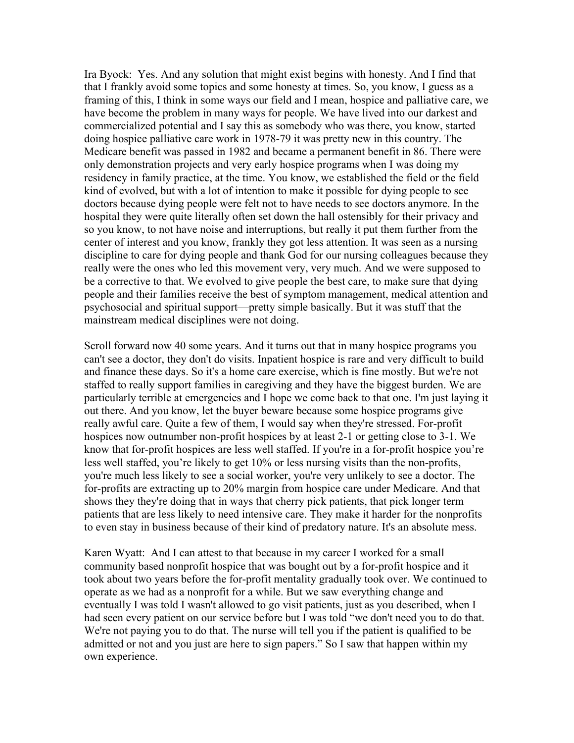Ira Byock: Yes. And any solution that might exist begins with honesty. And I find that that I frankly avoid some topics and some honesty at times. So, you know, I guess as a framing of this, I think in some ways our field and I mean, hospice and palliative care, we have become the problem in many ways for people. We have lived into our darkest and commercialized potential and I say this as somebody who was there, you know, started doing hospice palliative care work in 1978-79 it was pretty new in this country. The Medicare benefit was passed in 1982 and became a permanent benefit in 86. There were only demonstration projects and very early hospice programs when I was doing my residency in family practice, at the time. You know, we established the field or the field kind of evolved, but with a lot of intention to make it possible for dying people to see doctors because dying people were felt not to have needs to see doctors anymore. In the hospital they were quite literally often set down the hall ostensibly for their privacy and so you know, to not have noise and interruptions, but really it put them further from the center of interest and you know, frankly they got less attention. It was seen as a nursing discipline to care for dying people and thank God for our nursing colleagues because they really were the ones who led this movement very, very much. And we were supposed to be a corrective to that. We evolved to give people the best care, to make sure that dying people and their families receive the best of symptom management, medical attention and psychosocial and spiritual support—pretty simple basically. But it was stuff that the mainstream medical disciplines were not doing.

Scroll forward now 40 some years. And it turns out that in many hospice programs you can't see a doctor, they don't do visits. Inpatient hospice is rare and very difficult to build and finance these days. So it's a home care exercise, which is fine mostly. But we're not staffed to really support families in caregiving and they have the biggest burden. We are particularly terrible at emergencies and I hope we come back to that one. I'm just laying it out there. And you know, let the buyer beware because some hospice programs give really awful care. Quite a few of them, I would say when they're stressed. For-profit hospices now outnumber non-profit hospices by at least 2-1 or getting close to 3-1. We know that for-profit hospices are less well staffed. If you're in a for-profit hospice you're less well staffed, you're likely to get 10% or less nursing visits than the non-profits, you're much less likely to see a social worker, you're very unlikely to see a doctor. The for-profits are extracting up to 20% margin from hospice care under Medicare. And that shows they they're doing that in ways that cherry pick patients, that pick longer term patients that are less likely to need intensive care. They make it harder for the nonprofits to even stay in business because of their kind of predatory nature. It's an absolute mess.

Karen Wyatt: And I can attest to that because in my career I worked for a small community based nonprofit hospice that was bought out by a for-profit hospice and it took about two years before the for-profit mentality gradually took over. We continued to operate as we had as a nonprofit for a while. But we saw everything change and eventually I was told I wasn't allowed to go visit patients, just as you described, when I had seen every patient on our service before but I was told "we don't need you to do that. We're not paying you to do that. The nurse will tell you if the patient is qualified to be admitted or not and you just are here to sign papers." So I saw that happen within my own experience.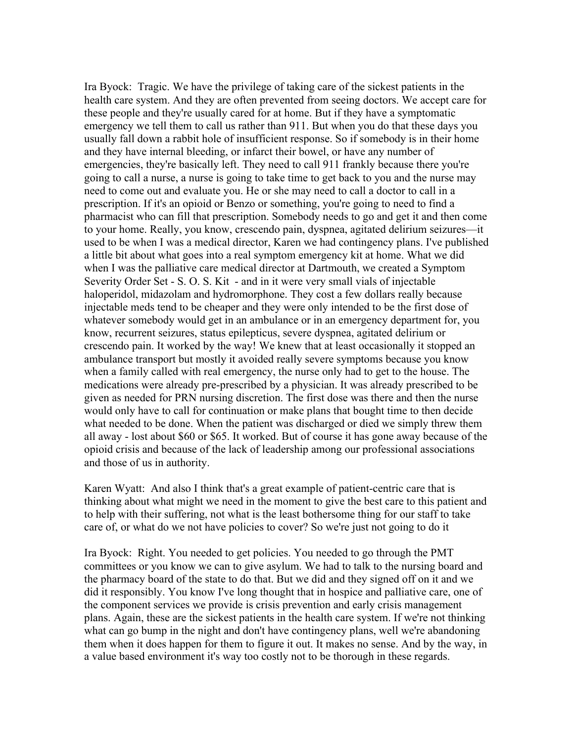Ira Byock: Tragic. We have the privilege of taking care of the sickest patients in the health care system. And they are often prevented from seeing doctors. We accept care for these people and they're usually cared for at home. But if they have a symptomatic emergency we tell them to call us rather than 911. But when you do that these days you usually fall down a rabbit hole of insufficient response. So if somebody is in their home and they have internal bleeding, or infarct their bowel, or have any number of emergencies, they're basically left. They need to call 911 frankly because there you're going to call a nurse, a nurse is going to take time to get back to you and the nurse may need to come out and evaluate you. He or she may need to call a doctor to call in a prescription. If it's an opioid or Benzo or something, you're going to need to find a pharmacist who can fill that prescription. Somebody needs to go and get it and then come to your home. Really, you know, crescendo pain, dyspnea, agitated delirium seizures—it used to be when I was a medical director, Karen we had contingency plans. I've published a little bit about what goes into a real symptom emergency kit at home. What we did when I was the palliative care medical director at Dartmouth, we created a Symptom Severity Order Set - S. O. S. Kit - and in it were very small vials of injectable haloperidol, midazolam and hydromorphone. They cost a few dollars really because injectable meds tend to be cheaper and they were only intended to be the first dose of whatever somebody would get in an ambulance or in an emergency department for, you know, recurrent seizures, status epilepticus, severe dyspnea, agitated delirium or crescendo pain. It worked by the way! We knew that at least occasionally it stopped an ambulance transport but mostly it avoided really severe symptoms because you know when a family called with real emergency, the nurse only had to get to the house. The medications were already pre-prescribed by a physician. It was already prescribed to be given as needed for PRN nursing discretion. The first dose was there and then the nurse would only have to call for continuation or make plans that bought time to then decide what needed to be done. When the patient was discharged or died we simply threw them all away - lost about \$60 or \$65. It worked. But of course it has gone away because of the opioid crisis and because of the lack of leadership among our professional associations and those of us in authority.

Karen Wyatt: And also I think that's a great example of patient-centric care that is thinking about what might we need in the moment to give the best care to this patient and to help with their suffering, not what is the least bothersome thing for our staff to take care of, or what do we not have policies to cover? So we're just not going to do it

Ira Byock: Right. You needed to get policies. You needed to go through the PMT committees or you know we can to give asylum. We had to talk to the nursing board and the pharmacy board of the state to do that. But we did and they signed off on it and we did it responsibly. You know I've long thought that in hospice and palliative care, one of the component services we provide is crisis prevention and early crisis management plans. Again, these are the sickest patients in the health care system. If we're not thinking what can go bump in the night and don't have contingency plans, well we're abandoning them when it does happen for them to figure it out. It makes no sense. And by the way, in a value based environment it's way too costly not to be thorough in these regards.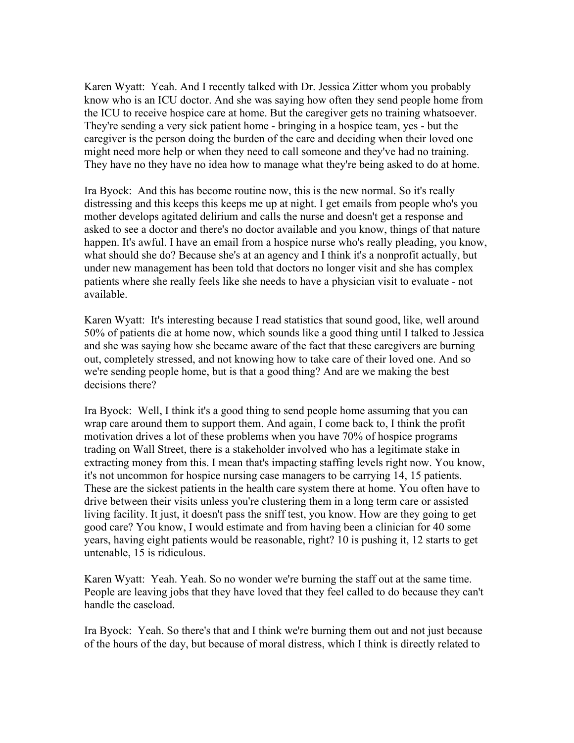Karen Wyatt: Yeah. And I recently talked with Dr. Jessica Zitter whom you probably know who is an ICU doctor. And she was saying how often they send people home from the ICU to receive hospice care at home. But the caregiver gets no training whatsoever. They're sending a very sick patient home - bringing in a hospice team, yes - but the caregiver is the person doing the burden of the care and deciding when their loved one might need more help or when they need to call someone and they've had no training. They have no they have no idea how to manage what they're being asked to do at home.

Ira Byock: And this has become routine now, this is the new normal. So it's really distressing and this keeps this keeps me up at night. I get emails from people who's you mother develops agitated delirium and calls the nurse and doesn't get a response and asked to see a doctor and there's no doctor available and you know, things of that nature happen. It's awful. I have an email from a hospice nurse who's really pleading, you know, what should she do? Because she's at an agency and I think it's a nonprofit actually, but under new management has been told that doctors no longer visit and she has complex patients where she really feels like she needs to have a physician visit to evaluate - not available.

Karen Wyatt: It's interesting because I read statistics that sound good, like, well around 50% of patients die at home now, which sounds like a good thing until I talked to Jessica and she was saying how she became aware of the fact that these caregivers are burning out, completely stressed, and not knowing how to take care of their loved one. And so we're sending people home, but is that a good thing? And are we making the best decisions there?

Ira Byock: Well, I think it's a good thing to send people home assuming that you can wrap care around them to support them. And again, I come back to, I think the profit motivation drives a lot of these problems when you have 70% of hospice programs trading on Wall Street, there is a stakeholder involved who has a legitimate stake in extracting money from this. I mean that's impacting staffing levels right now. You know, it's not uncommon for hospice nursing case managers to be carrying 14, 15 patients. These are the sickest patients in the health care system there at home. You often have to drive between their visits unless you're clustering them in a long term care or assisted living facility. It just, it doesn't pass the sniff test, you know. How are they going to get good care? You know, I would estimate and from having been a clinician for 40 some years, having eight patients would be reasonable, right? 10 is pushing it, 12 starts to get untenable, 15 is ridiculous.

Karen Wyatt: Yeah. Yeah. So no wonder we're burning the staff out at the same time. People are leaving jobs that they have loved that they feel called to do because they can't handle the caseload.

Ira Byock: Yeah. So there's that and I think we're burning them out and not just because of the hours of the day, but because of moral distress, which I think is directly related to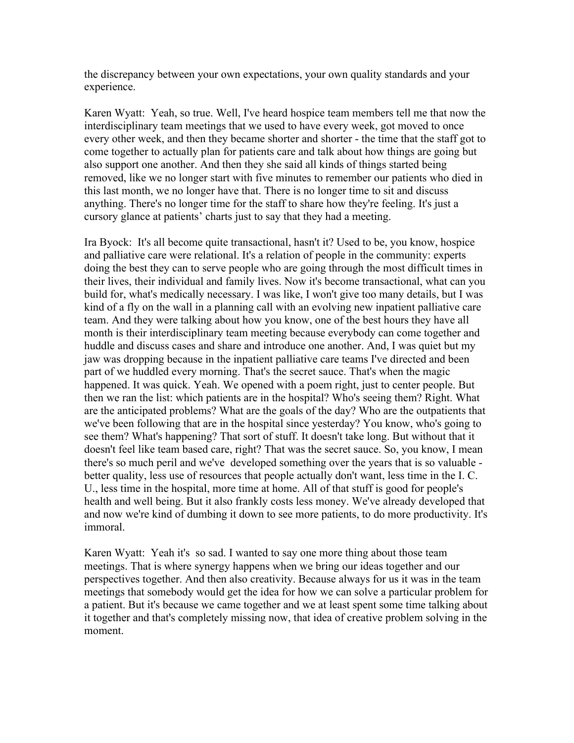the discrepancy between your own expectations, your own quality standards and your experience.

Karen Wyatt: Yeah, so true. Well, I've heard hospice team members tell me that now the interdisciplinary team meetings that we used to have every week, got moved to once every other week, and then they became shorter and shorter - the time that the staff got to come together to actually plan for patients care and talk about how things are going but also support one another. And then they she said all kinds of things started being removed, like we no longer start with five minutes to remember our patients who died in this last month, we no longer have that. There is no longer time to sit and discuss anything. There's no longer time for the staff to share how they're feeling. It's just a cursory glance at patients' charts just to say that they had a meeting.

Ira Byock: It's all become quite transactional, hasn't it? Used to be, you know, hospice and palliative care were relational. It's a relation of people in the community: experts doing the best they can to serve people who are going through the most difficult times in their lives, their individual and family lives. Now it's become transactional, what can you build for, what's medically necessary. I was like, I won't give too many details, but I was kind of a fly on the wall in a planning call with an evolving new inpatient palliative care team. And they were talking about how you know, one of the best hours they have all month is their interdisciplinary team meeting because everybody can come together and huddle and discuss cases and share and introduce one another. And, I was quiet but my jaw was dropping because in the inpatient palliative care teams I've directed and been part of we huddled every morning. That's the secret sauce. That's when the magic happened. It was quick. Yeah. We opened with a poem right, just to center people. But then we ran the list: which patients are in the hospital? Who's seeing them? Right. What are the anticipated problems? What are the goals of the day? Who are the outpatients that we've been following that are in the hospital since yesterday? You know, who's going to see them? What's happening? That sort of stuff. It doesn't take long. But without that it doesn't feel like team based care, right? That was the secret sauce. So, you know, I mean there's so much peril and we've developed something over the years that is so valuable better quality, less use of resources that people actually don't want, less time in the I. C. U., less time in the hospital, more time at home. All of that stuff is good for people's health and well being. But it also frankly costs less money. We've already developed that and now we're kind of dumbing it down to see more patients, to do more productivity. It's immoral.

Karen Wyatt: Yeah it's so sad. I wanted to say one more thing about those team meetings. That is where synergy happens when we bring our ideas together and our perspectives together. And then also creativity. Because always for us it was in the team meetings that somebody would get the idea for how we can solve a particular problem for a patient. But it's because we came together and we at least spent some time talking about it together and that's completely missing now, that idea of creative problem solving in the moment.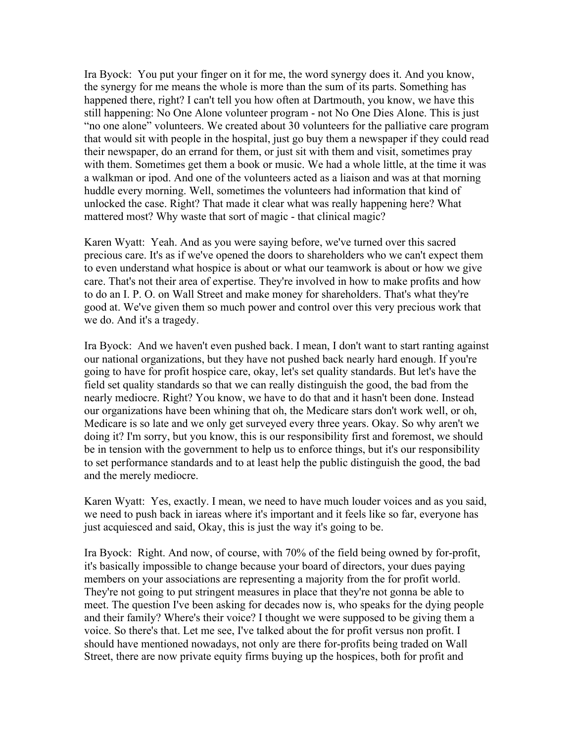Ira Byock: You put your finger on it for me, the word synergy does it. And you know, the synergy for me means the whole is more than the sum of its parts. Something has happened there, right? I can't tell you how often at Dartmouth, you know, we have this still happening: No One Alone volunteer program - not No One Dies Alone. This is just "no one alone" volunteers. We created about 30 volunteers for the palliative care program that would sit with people in the hospital, just go buy them a newspaper if they could read their newspaper, do an errand for them, or just sit with them and visit, sometimes pray with them. Sometimes get them a book or music. We had a whole little, at the time it was a walkman or ipod. And one of the volunteers acted as a liaison and was at that morning huddle every morning. Well, sometimes the volunteers had information that kind of unlocked the case. Right? That made it clear what was really happening here? What mattered most? Why waste that sort of magic - that clinical magic?

Karen Wyatt: Yeah. And as you were saying before, we've turned over this sacred precious care. It's as if we've opened the doors to shareholders who we can't expect them to even understand what hospice is about or what our teamwork is about or how we give care. That's not their area of expertise. They're involved in how to make profits and how to do an I. P. O. on Wall Street and make money for shareholders. That's what they're good at. We've given them so much power and control over this very precious work that we do. And it's a tragedy.

Ira Byock: And we haven't even pushed back. I mean, I don't want to start ranting against our national organizations, but they have not pushed back nearly hard enough. If you're going to have for profit hospice care, okay, let's set quality standards. But let's have the field set quality standards so that we can really distinguish the good, the bad from the nearly mediocre. Right? You know, we have to do that and it hasn't been done. Instead our organizations have been whining that oh, the Medicare stars don't work well, or oh, Medicare is so late and we only get surveyed every three years. Okay. So why aren't we doing it? I'm sorry, but you know, this is our responsibility first and foremost, we should be in tension with the government to help us to enforce things, but it's our responsibility to set performance standards and to at least help the public distinguish the good, the bad and the merely mediocre.

Karen Wyatt: Yes, exactly. I mean, we need to have much louder voices and as you said, we need to push back in iareas where it's important and it feels like so far, everyone has just acquiesced and said, Okay, this is just the way it's going to be.

Ira Byock: Right. And now, of course, with 70% of the field being owned by for-profit, it's basically impossible to change because your board of directors, your dues paying members on your associations are representing a majority from the for profit world. They're not going to put stringent measures in place that they're not gonna be able to meet. The question I've been asking for decades now is, who speaks for the dying people and their family? Where's their voice? I thought we were supposed to be giving them a voice. So there's that. Let me see, I've talked about the for profit versus non profit. I should have mentioned nowadays, not only are there for-profits being traded on Wall Street, there are now private equity firms buying up the hospices, both for profit and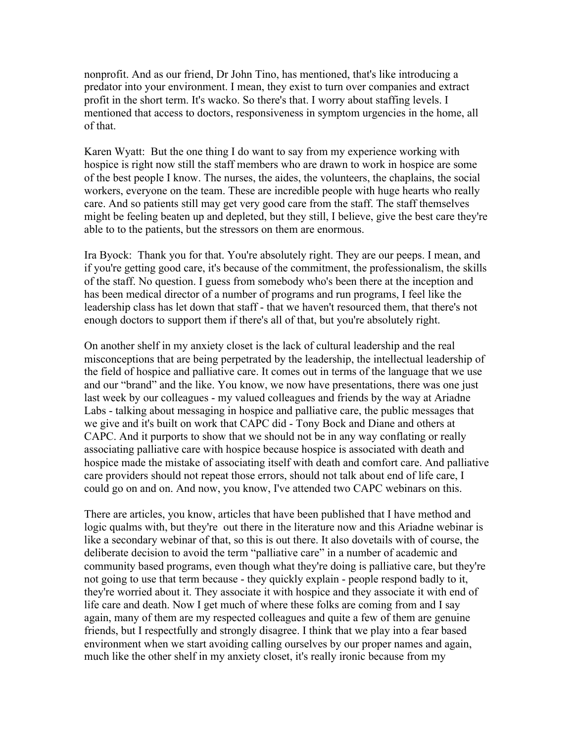nonprofit. And as our friend, Dr John Tino, has mentioned, that's like introducing a predator into your environment. I mean, they exist to turn over companies and extract profit in the short term. It's wacko. So there's that. I worry about staffing levels. I mentioned that access to doctors, responsiveness in symptom urgencies in the home, all of that.

Karen Wyatt: But the one thing I do want to say from my experience working with hospice is right now still the staff members who are drawn to work in hospice are some of the best people I know. The nurses, the aides, the volunteers, the chaplains, the social workers, everyone on the team. These are incredible people with huge hearts who really care. And so patients still may get very good care from the staff. The staff themselves might be feeling beaten up and depleted, but they still, I believe, give the best care they're able to to the patients, but the stressors on them are enormous.

Ira Byock: Thank you for that. You're absolutely right. They are our peeps. I mean, and if you're getting good care, it's because of the commitment, the professionalism, the skills of the staff. No question. I guess from somebody who's been there at the inception and has been medical director of a number of programs and run programs, I feel like the leadership class has let down that staff - that we haven't resourced them, that there's not enough doctors to support them if there's all of that, but you're absolutely right.

On another shelf in my anxiety closet is the lack of cultural leadership and the real misconceptions that are being perpetrated by the leadership, the intellectual leadership of the field of hospice and palliative care. It comes out in terms of the language that we use and our "brand" and the like. You know, we now have presentations, there was one just last week by our colleagues - my valued colleagues and friends by the way at Ariadne Labs - talking about messaging in hospice and palliative care, the public messages that we give and it's built on work that CAPC did - Tony Bock and Diane and others at CAPC. And it purports to show that we should not be in any way conflating or really associating palliative care with hospice because hospice is associated with death and hospice made the mistake of associating itself with death and comfort care. And palliative care providers should not repeat those errors, should not talk about end of life care, I could go on and on. And now, you know, I've attended two CAPC webinars on this.

There are articles, you know, articles that have been published that I have method and logic qualms with, but they're out there in the literature now and this Ariadne webinar is like a secondary webinar of that, so this is out there. It also dovetails with of course, the deliberate decision to avoid the term "palliative care" in a number of academic and community based programs, even though what they're doing is palliative care, but they're not going to use that term because - they quickly explain - people respond badly to it, they're worried about it. They associate it with hospice and they associate it with end of life care and death. Now I get much of where these folks are coming from and I say again, many of them are my respected colleagues and quite a few of them are genuine friends, but I respectfully and strongly disagree. I think that we play into a fear based environment when we start avoiding calling ourselves by our proper names and again, much like the other shelf in my anxiety closet, it's really ironic because from my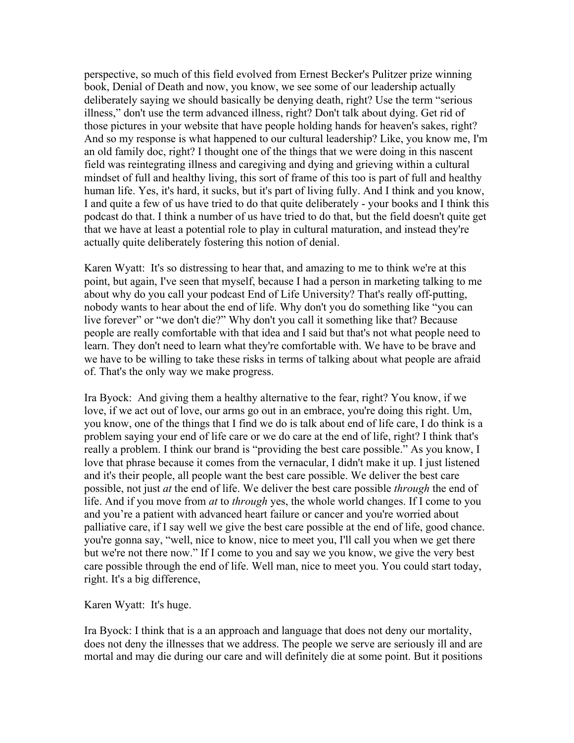perspective, so much of this field evolved from Ernest Becker's Pulitzer prize winning book, Denial of Death and now, you know, we see some of our leadership actually deliberately saying we should basically be denying death, right? Use the term "serious illness," don't use the term advanced illness, right? Don't talk about dying. Get rid of those pictures in your website that have people holding hands for heaven's sakes, right? And so my response is what happened to our cultural leadership? Like, you know me, I'm an old family doc, right? I thought one of the things that we were doing in this nascent field was reintegrating illness and caregiving and dying and grieving within a cultural mindset of full and healthy living, this sort of frame of this too is part of full and healthy human life. Yes, it's hard, it sucks, but it's part of living fully. And I think and you know, I and quite a few of us have tried to do that quite deliberately - your books and I think this podcast do that. I think a number of us have tried to do that, but the field doesn't quite get that we have at least a potential role to play in cultural maturation, and instead they're actually quite deliberately fostering this notion of denial.

Karen Wyatt: It's so distressing to hear that, and amazing to me to think we're at this point, but again, I've seen that myself, because I had a person in marketing talking to me about why do you call your podcast End of Life University? That's really off-putting, nobody wants to hear about the end of life. Why don't you do something like "you can live forever" or "we don't die?" Why don't you call it something like that? Because people are really comfortable with that idea and I said but that's not what people need to learn. They don't need to learn what they're comfortable with. We have to be brave and we have to be willing to take these risks in terms of talking about what people are afraid of. That's the only way we make progress.

Ira Byock: And giving them a healthy alternative to the fear, right? You know, if we love, if we act out of love, our arms go out in an embrace, you're doing this right. Um, you know, one of the things that I find we do is talk about end of life care, I do think is a problem saying your end of life care or we do care at the end of life, right? I think that's really a problem. I think our brand is "providing the best care possible." As you know, I love that phrase because it comes from the vernacular, I didn't make it up. I just listened and it's their people, all people want the best care possible. We deliver the best care possible, not just *at* the end of life. We deliver the best care possible *through* the end of life. And if you move from *at* to *through* yes, the whole world changes. If I come to you and you're a patient with advanced heart failure or cancer and you're worried about palliative care, if I say well we give the best care possible at the end of life, good chance. you're gonna say, "well, nice to know, nice to meet you, I'll call you when we get there but we're not there now." If I come to you and say we you know, we give the very best care possible through the end of life. Well man, nice to meet you. You could start today, right. It's a big difference,

Karen Wyatt: It's huge.

Ira Byock: I think that is a an approach and language that does not deny our mortality, does not deny the illnesses that we address. The people we serve are seriously ill and are mortal and may die during our care and will definitely die at some point. But it positions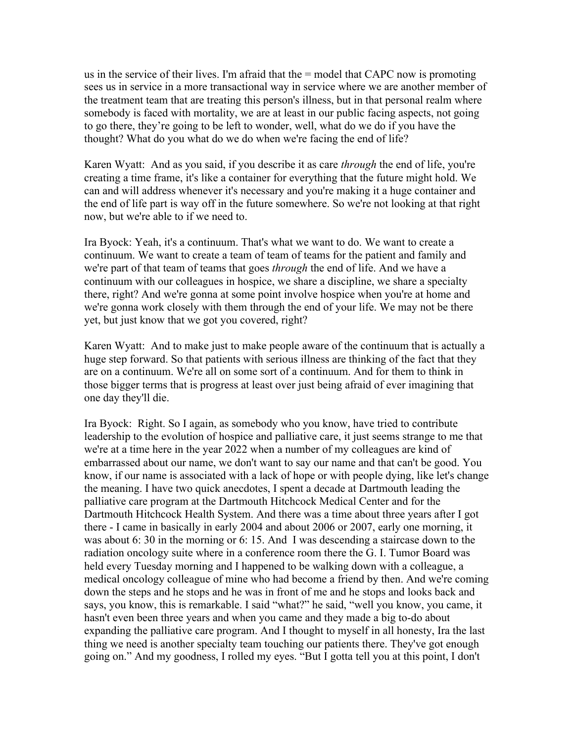us in the service of their lives. I'm afraid that the = model that CAPC now is promoting sees us in service in a more transactional way in service where we are another member of the treatment team that are treating this person's illness, but in that personal realm where somebody is faced with mortality, we are at least in our public facing aspects, not going to go there, they're going to be left to wonder, well, what do we do if you have the thought? What do you what do we do when we're facing the end of life?

Karen Wyatt: And as you said, if you describe it as care *through* the end of life, you're creating a time frame, it's like a container for everything that the future might hold. We can and will address whenever it's necessary and you're making it a huge container and the end of life part is way off in the future somewhere. So we're not looking at that right now, but we're able to if we need to.

Ira Byock: Yeah, it's a continuum. That's what we want to do. We want to create a continuum. We want to create a team of team of teams for the patient and family and we're part of that team of teams that goes *through* the end of life. And we have a continuum with our colleagues in hospice, we share a discipline, we share a specialty there, right? And we're gonna at some point involve hospice when you're at home and we're gonna work closely with them through the end of your life. We may not be there yet, but just know that we got you covered, right?

Karen Wyatt: And to make just to make people aware of the continuum that is actually a huge step forward. So that patients with serious illness are thinking of the fact that they are on a continuum. We're all on some sort of a continuum. And for them to think in those bigger terms that is progress at least over just being afraid of ever imagining that one day they'll die.

Ira Byock: Right. So I again, as somebody who you know, have tried to contribute leadership to the evolution of hospice and palliative care, it just seems strange to me that we're at a time here in the year 2022 when a number of my colleagues are kind of embarrassed about our name, we don't want to say our name and that can't be good. You know, if our name is associated with a lack of hope or with people dying, like let's change the meaning. I have two quick anecdotes, I spent a decade at Dartmouth leading the palliative care program at the Dartmouth Hitchcock Medical Center and for the Dartmouth Hitchcock Health System. And there was a time about three years after I got there - I came in basically in early 2004 and about 2006 or 2007, early one morning, it was about 6: 30 in the morning or 6: 15. And I was descending a staircase down to the radiation oncology suite where in a conference room there the G. I. Tumor Board was held every Tuesday morning and I happened to be walking down with a colleague, a medical oncology colleague of mine who had become a friend by then. And we're coming down the steps and he stops and he was in front of me and he stops and looks back and says, you know, this is remarkable. I said "what?" he said, "well you know, you came, it hasn't even been three years and when you came and they made a big to-do about expanding the palliative care program. And I thought to myself in all honesty, Ira the last thing we need is another specialty team touching our patients there. They've got enough going on." And my goodness, I rolled my eyes. "But I gotta tell you at this point, I don't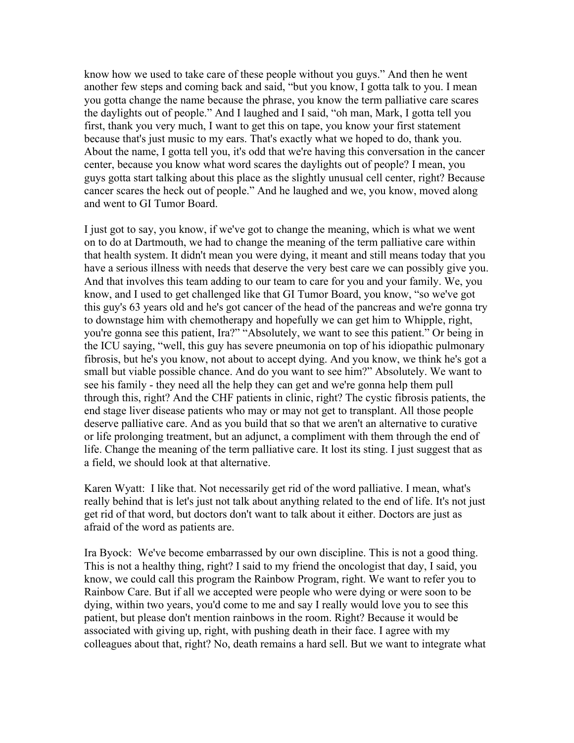know how we used to take care of these people without you guys." And then he went another few steps and coming back and said, "but you know, I gotta talk to you. I mean you gotta change the name because the phrase, you know the term palliative care scares the daylights out of people." And I laughed and I said, "oh man, Mark, I gotta tell you first, thank you very much, I want to get this on tape, you know your first statement because that's just music to my ears. That's exactly what we hoped to do, thank you. About the name, I gotta tell you, it's odd that we're having this conversation in the cancer center, because you know what word scares the daylights out of people? I mean, you guys gotta start talking about this place as the slightly unusual cell center, right? Because cancer scares the heck out of people." And he laughed and we, you know, moved along and went to GI Tumor Board.

I just got to say, you know, if we've got to change the meaning, which is what we went on to do at Dartmouth, we had to change the meaning of the term palliative care within that health system. It didn't mean you were dying, it meant and still means today that you have a serious illness with needs that deserve the very best care we can possibly give you. And that involves this team adding to our team to care for you and your family. We, you know, and I used to get challenged like that GI Tumor Board, you know, "so we've got this guy's 63 years old and he's got cancer of the head of the pancreas and we're gonna try to downstage him with chemotherapy and hopefully we can get him to Whipple, right, you're gonna see this patient, Ira?" "Absolutely, we want to see this patient." Or being in the ICU saying, "well, this guy has severe pneumonia on top of his idiopathic pulmonary fibrosis, but he's you know, not about to accept dying. And you know, we think he's got a small but viable possible chance. And do you want to see him?" Absolutely. We want to see his family - they need all the help they can get and we're gonna help them pull through this, right? And the CHF patients in clinic, right? The cystic fibrosis patients, the end stage liver disease patients who may or may not get to transplant. All those people deserve palliative care. And as you build that so that we aren't an alternative to curative or life prolonging treatment, but an adjunct, a compliment with them through the end of life. Change the meaning of the term palliative care. It lost its sting. I just suggest that as a field, we should look at that alternative.

Karen Wyatt: I like that. Not necessarily get rid of the word palliative. I mean, what's really behind that is let's just not talk about anything related to the end of life. It's not just get rid of that word, but doctors don't want to talk about it either. Doctors are just as afraid of the word as patients are.

Ira Byock: We've become embarrassed by our own discipline. This is not a good thing. This is not a healthy thing, right? I said to my friend the oncologist that day, I said, you know, we could call this program the Rainbow Program, right. We want to refer you to Rainbow Care. But if all we accepted were people who were dying or were soon to be dying, within two years, you'd come to me and say I really would love you to see this patient, but please don't mention rainbows in the room. Right? Because it would be associated with giving up, right, with pushing death in their face. I agree with my colleagues about that, right? No, death remains a hard sell. But we want to integrate what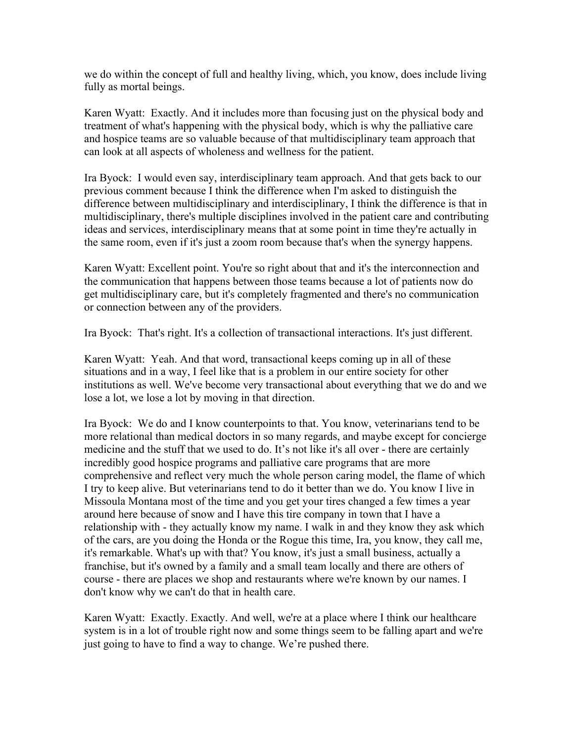we do within the concept of full and healthy living, which, you know, does include living fully as mortal beings.

Karen Wyatt: Exactly. And it includes more than focusing just on the physical body and treatment of what's happening with the physical body, which is why the palliative care and hospice teams are so valuable because of that multidisciplinary team approach that can look at all aspects of wholeness and wellness for the patient.

Ira Byock: I would even say, interdisciplinary team approach. And that gets back to our previous comment because I think the difference when I'm asked to distinguish the difference between multidisciplinary and interdisciplinary, I think the difference is that in multidisciplinary, there's multiple disciplines involved in the patient care and contributing ideas and services, interdisciplinary means that at some point in time they're actually in the same room, even if it's just a zoom room because that's when the synergy happens.

Karen Wyatt: Excellent point. You're so right about that and it's the interconnection and the communication that happens between those teams because a lot of patients now do get multidisciplinary care, but it's completely fragmented and there's no communication or connection between any of the providers.

Ira Byock: That's right. It's a collection of transactional interactions. It's just different.

Karen Wyatt: Yeah. And that word, transactional keeps coming up in all of these situations and in a way, I feel like that is a problem in our entire society for other institutions as well. We've become very transactional about everything that we do and we lose a lot, we lose a lot by moving in that direction.

Ira Byock: We do and I know counterpoints to that. You know, veterinarians tend to be more relational than medical doctors in so many regards, and maybe except for concierge medicine and the stuff that we used to do. It's not like it's all over - there are certainly incredibly good hospice programs and palliative care programs that are more comprehensive and reflect very much the whole person caring model, the flame of which I try to keep alive. But veterinarians tend to do it better than we do. You know I live in Missoula Montana most of the time and you get your tires changed a few times a year around here because of snow and I have this tire company in town that I have a relationship with - they actually know my name. I walk in and they know they ask which of the cars, are you doing the Honda or the Rogue this time, Ira, you know, they call me, it's remarkable. What's up with that? You know, it's just a small business, actually a franchise, but it's owned by a family and a small team locally and there are others of course - there are places we shop and restaurants where we're known by our names. I don't know why we can't do that in health care.

Karen Wyatt: Exactly. Exactly. And well, we're at a place where I think our healthcare system is in a lot of trouble right now and some things seem to be falling apart and we're just going to have to find a way to change. We're pushed there.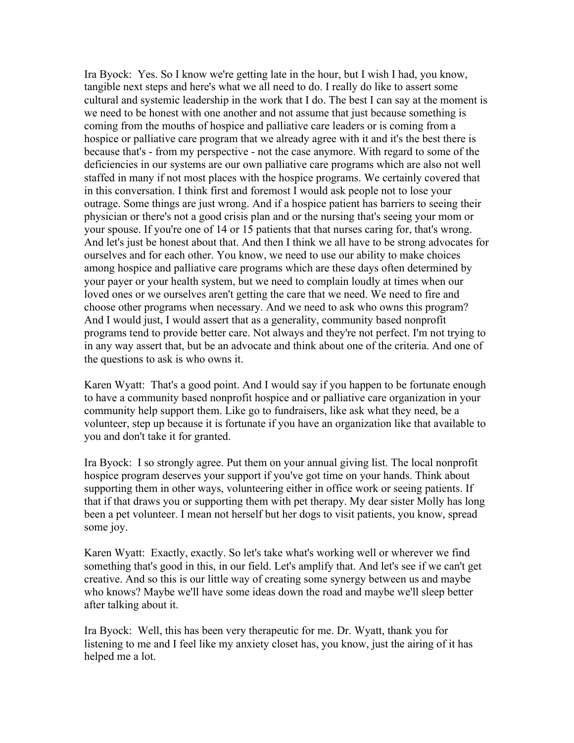Ira Byock: Yes. So I know we're getting late in the hour, but I wish I had, you know, tangible next steps and here's what we all need to do. I really do like to assert some cultural and systemic leadership in the work that I do. The best I can say at the moment is we need to be honest with one another and not assume that just because something is coming from the mouths of hospice and palliative care leaders or is coming from a hospice or palliative care program that we already agree with it and it's the best there is because that's - from my perspective - not the case anymore. With regard to some of the deficiencies in our systems are our own palliative care programs which are also not well staffed in many if not most places with the hospice programs. We certainly covered that in this conversation. I think first and foremost I would ask people not to lose your outrage. Some things are just wrong. And if a hospice patient has barriers to seeing their physician or there's not a good crisis plan and or the nursing that's seeing your mom or your spouse. If you're one of 14 or 15 patients that that nurses caring for, that's wrong. And let's just be honest about that. And then I think we all have to be strong advocates for ourselves and for each other. You know, we need to use our ability to make choices among hospice and palliative care programs which are these days often determined by your payer or your health system, but we need to complain loudly at times when our loved ones or we ourselves aren't getting the care that we need. We need to fire and choose other programs when necessary. And we need to ask who owns this program? And I would just, I would assert that as a generality, community based nonprofit programs tend to provide better care. Not always and they're not perfect. I'm not trying to in any way assert that, but be an advocate and think about one of the criteria. And one of the questions to ask is who owns it.

Karen Wyatt: That's a good point. And I would say if you happen to be fortunate enough to have a community based nonprofit hospice and or palliative care organization in your community help support them. Like go to fundraisers, like ask what they need, be a volunteer, step up because it is fortunate if you have an organization like that available to you and don't take it for granted.

Ira Byock: I so strongly agree. Put them on your annual giving list. The local nonprofit hospice program deserves your support if you've got time on your hands. Think about supporting them in other ways, volunteering either in office work or seeing patients. If that if that draws you or supporting them with pet therapy. My dear sister Molly has long been a pet volunteer. I mean not herself but her dogs to visit patients, you know, spread some joy.

Karen Wyatt: Exactly, exactly. So let's take what's working well or wherever we find something that's good in this, in our field. Let's amplify that. And let's see if we can't get creative. And so this is our little way of creating some synergy between us and maybe who knows? Maybe we'll have some ideas down the road and maybe we'll sleep better after talking about it.

Ira Byock: Well, this has been very therapeutic for me. Dr. Wyatt, thank you for listening to me and I feel like my anxiety closet has, you know, just the airing of it has helped me a lot.